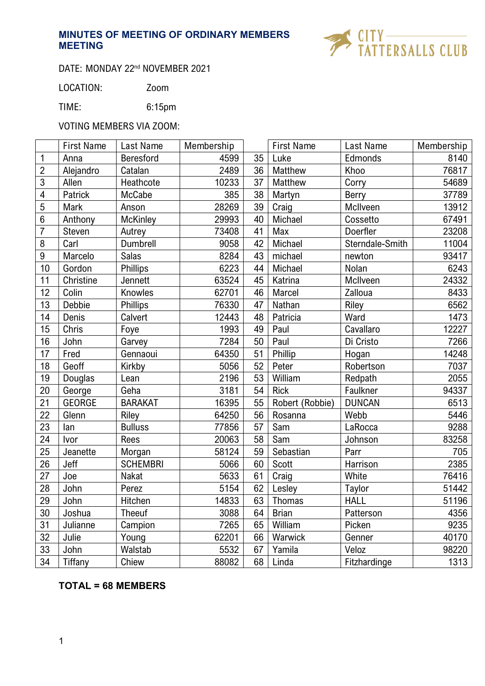

# DATE: MONDAY 22<sup>nd</sup> NOVEMBER 2021

LOCATION: Zoom

TIME: 6:15pm

# VOTING MEMBERS VIA ZOOM:

|                 | <b>First Name</b> | Last Name       | Membership |    | <b>First Name</b> | Last Name       | Membership |
|-----------------|-------------------|-----------------|------------|----|-------------------|-----------------|------------|
| 1               | Anna              | Beresford       | 4599       | 35 | Luke              | Edmonds         | 8140       |
| $\overline{2}$  | Alejandro         | Catalan         | 2489       | 36 | Matthew           | Khoo            | 76817      |
| 3               | Allen             | Heathcote       | 10233      | 37 | Matthew           | Corry           | 54689      |
| 4               | Patrick           | McCabe          | 385        | 38 | Martyn            | Berry           | 37789      |
| 5               | Mark              | Anson           | 28269      | 39 | Craig             | McIlveen        | 13912      |
| $6\phantom{.}6$ | Anthony           | <b>McKinley</b> | 29993      | 40 | Michael           | Cossetto        | 67491      |
| $\overline{7}$  | Steven            | Autrey          | 73408      | 41 | Max               | Doerfler        | 23208      |
| 8               | Carl              | <b>Dumbrell</b> | 9058       | 42 | Michael           | Sterndale-Smith | 11004      |
| 9               | Marcelo           | <b>Salas</b>    | 8284       | 43 | michael           | newton          | 93417      |
| 10              | Gordon            | <b>Phillips</b> | 6223       | 44 | Michael           | Nolan           | 6243       |
| 11              | Christine         | Jennett         | 63524      | 45 | Katrina           | McIlveen        | 24332      |
| 12              | Colin             | Knowles         | 62701      | 46 | Marcel            | Zalloua         | 8433       |
| 13              | Debbie            | Phillips        | 76330      | 47 | Nathan            | Riley           | 6562       |
| 14              | Denis             | Calvert         | 12443      | 48 | Patricia          | Ward            | 1473       |
| 15              | Chris             | Foye            | 1993       | 49 | Paul              | Cavallaro       | 12227      |
| 16              | John              | Garvey          | 7284       | 50 | Paul              | Di Cristo       | 7266       |
| 17              | Fred              | Gennaoui        | 64350      | 51 | Phillip           | Hogan           | 14248      |
| 18              | Geoff             | Kirkby          | 5056       | 52 | Peter             | Robertson       | 7037       |
| 19              | Douglas           | Lean            | 2196       | 53 | William           | Redpath         | 2055       |
| 20              | George            | Geha            | 3181       | 54 | <b>Rick</b>       | Faulkner        | 94337      |
| 21              | <b>GEORGE</b>     | <b>BARAKAT</b>  | 16395      | 55 | Robert (Robbie)   | <b>DUNCAN</b>   | 6513       |
| 22              | Glenn             | Riley           | 64250      | 56 | Rosanna           | Webb            | 5446       |
| 23              | lan               | <b>Bulluss</b>  | 77856      | 57 | Sam               | LaRocca         | 9288       |
| 24              | Ivor              | Rees            | 20063      | 58 | Sam               | Johnson         | 83258      |
| 25              | Jeanette          | Morgan          | 58124      | 59 | Sebastian         | Parr            | 705        |
| 26              | Jeff              | <b>SCHEMBRI</b> | 5066       | 60 | <b>Scott</b>      | Harrison        | 2385       |
| 27              | Joe               | <b>Nakat</b>    | 5633       | 61 | Craig             | White           | 76416      |
| 28              | John              | Perez           | 5154       | 62 | Lesley            | Taylor          | 51442      |
| 29              | John              | Hitchen         | 14833      | 63 | Thomas            | <b>HALL</b>     | 51196      |
| 30              | Joshua            | <b>Theeuf</b>   | 3088       | 64 | <b>Brian</b>      | Patterson       | 4356       |
| 31              | Julianne          | Campion         | 7265       | 65 | William           | Picken          | 9235       |
| 32              | Julie             | Young           | 62201      | 66 | Warwick           | Genner          | 40170      |
| 33              | John              | Walstab         | 5532       | 67 | Yamila            | Veloz           | 98220      |
| 34              | Tiffany           | Chiew           | 88082      | 68 | Linda             | Fitzhardinge    | 1313       |

# **TOTAL = 68 MEMBERS**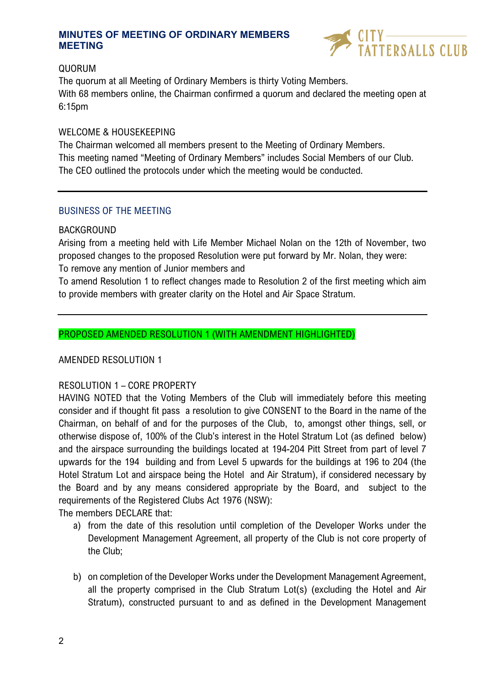

## QUORUM

The quorum at all Meeting of Ordinary Members is thirty Voting Members. With 68 members online, the Chairman confirmed a quorum and declared the meeting open at 6:15pm

#### WELCOME & HOUSEKEEPING

The Chairman welcomed all members present to the Meeting of Ordinary Members. This meeting named "Meeting of Ordinary Members" includes Social Members of our Club. The CEO outlined the protocols under which the meeting would be conducted.

## BUSINESS OF THE MEETING

## BACKGROUND

Arising from a meeting held with Life Member Michael Nolan on the 12th of November, two proposed changes to the proposed Resolution were put forward by Mr. Nolan, they were: To remove any mention of Junior members and

To amend Resolution 1 to reflect changes made to Resolution 2 of the first meeting which aim to provide members with greater clarity on the Hotel and Air Space Stratum.

## PROPOSED AMENDED RESOLUTION 1 (WITH AMENDMENT HIGHLIGHTED)

#### AMENDED RESOLUTION 1

# RESOLUTION 1 – CORE PROPERTY

HAVING NOTED that the Voting Members of the Club will immediately before this meeting consider and if thought fit pass a resolution to give CONSENT to the Board in the name of the Chairman, on behalf of and for the purposes of the Club, to, amongst other things, sell, or otherwise dispose of, 100% of the Club's interest in the Hotel Stratum Lot (as defined below) and the airspace surrounding the buildings located at 194-204 Pitt Street from part of level 7 upwards for the 194 building and from Level 5 upwards for the buildings at 196 to 204 (the Hotel Stratum Lot and airspace being the Hotel and Air Stratum), if considered necessary by the Board and by any means considered appropriate by the Board, and subject to the requirements of the Registered Clubs Act 1976 (NSW):

The members DECLARE that:

- a) from the date of this resolution until completion of the Developer Works under the Development Management Agreement, all property of the Club is not core property of the Club;
- b) on completion of the Developer Works under the Development Management Agreement, all the property comprised in the Club Stratum Lot(s) (excluding the Hotel and Air Stratum), constructed pursuant to and as defined in the Development Management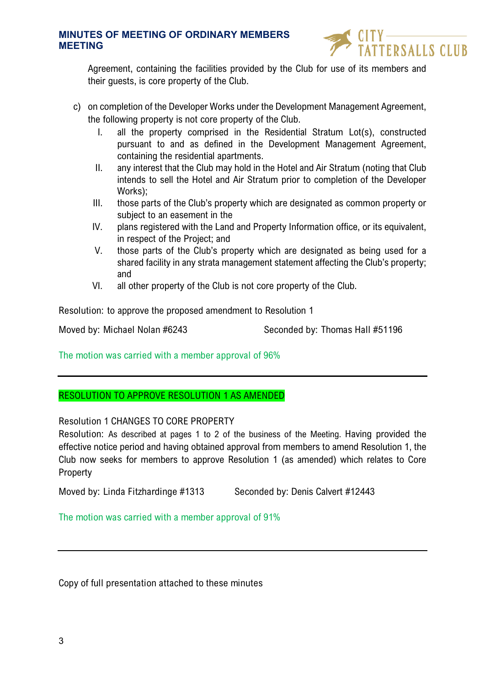

Agreement, containing the facilities provided by the Club for use of its members and their guests, is core property of the Club.

- c) on completion of the Developer Works under the Development Management Agreement, the following property is not core property of the Club.
	- I. all the property comprised in the Residential Stratum Lot(s), constructed pursuant to and as defined in the Development Management Agreement, containing the residential apartments.
	- II. any interest that the Club may hold in the Hotel and Air Stratum (noting that Club intends to sell the Hotel and Air Stratum prior to completion of the Developer Works);
	- III. those parts of the Club's property which are designated as common property or subject to an easement in the
	- IV. plans registered with the Land and Property Information office, or its equivalent, in respect of the Project; and
	- V. those parts of the Club's property which are designated as being used for a shared facility in any strata management statement affecting the Club's property; and
	- VI. all other property of the Club is not core property of the Club.

Resolution: to approve the proposed amendment to Resolution 1

Moved by: Michael Nolan #6243 Seconded by: Thomas Hall #51196

The motion was carried with a member approval of 96%

# RESOLUTION TO APPROVE RESOLUTION 1 AS AMENDED

#### Resolution 1 CHANGES TO CORE PROPERTY

Resolution: As described at pages 1 to 2 of the business of the Meeting. Having provided the effective notice period and having obtained approval from members to amend Resolution 1, the Club now seeks for members to approve Resolution 1 (as amended) which relates to Core Property

Moved by: Linda Fitzhardinge #1313 Seconded by: Denis Calvert #12443

The motion was carried with a member approval of 91%

Copy of full presentation attached to these minutes